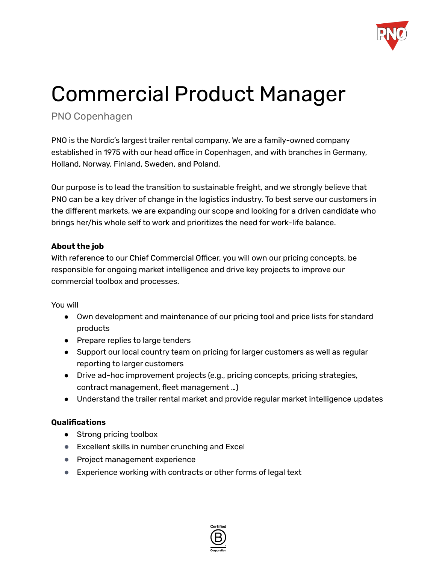

# Commercial Product Manager

# PNO Copenhagen

PNO is the Nordic's largest trailer rental company. We are a family-owned company established in 1975 with our head office in Copenhagen, and with branches in Germany, Holland, Norway, Finland, Sweden, and Poland.

Our purpose is to lead the transition to sustainable freight, and we strongly believe that PNO can be a key driver of change in the logistics industry. To best serve our customers in the different markets, we are expanding our scope and looking for a driven candidate who brings her/his whole self to work and prioritizes the need for work-life balance.

## **About the job**

With reference to our Chief Commercial Officer, you will own our pricing concepts, be responsible for ongoing market intelligence and drive key projects to improve our commercial toolbox and processes.

You will

- Own development and maintenance of our pricing tool and price lists for standard products
- Prepare replies to large tenders
- Support our local country team on pricing for larger customers as well as regular reporting to larger customers
- Drive ad-hoc improvement projects (e.g., pricing concepts, pricing strategies, contract management, fleet management …)
- Understand the trailer rental market and provide regular market intelligence updates

#### **Qualifications**

- Strong pricing toolbox
- Excellent skills in number crunching and Excel
- Project management experience
- Experience working with contracts or other forms of legal text